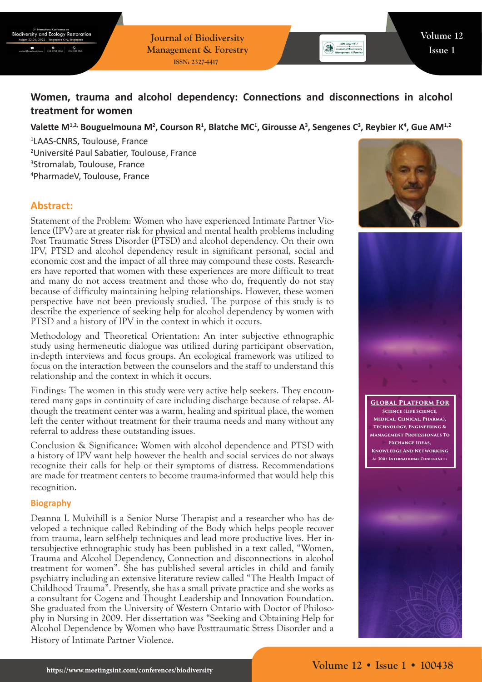**Journal of Biodiversity Management & Forestry ISSN: 2327-4417**

# **Women, trauma and alcohol dependency: Connections and disconnections in alcohol treatment for women**

Valette M<sup>1,2,</sup> Bouguelmouna M<sup>2</sup>, Courson R<sup>1</sup>, Blatche MC<sup>1</sup>, Girousse A<sup>3</sup>, Sengenes C<sup>3</sup>, Reybier K<sup>4</sup>, Gue AM<sup>1,2</sup>

 LAAS-CNRS, Toulouse, France Université Paul Sabatier, Toulouse, France Stromalab, Toulouse, France PharmadeV, Toulouse, France

## **Abstract:**

Statement of the Problem: Women who have experienced Intimate Partner Violence (IPV) are at greater risk for physical and mental health problems including Post Traumatic Stress Disorder (PTSD) and alcohol dependency. On their own IPV, PTSD and alcohol dependency result in significant personal, social and economic cost and the impact of all three may compound these costs. Researchers have reported that women with these experiences are more difficult to treat and many do not access treatment and those who do, frequently do not stay because of difficulty maintaining helping relationships. However, these women perspective have not been previously studied. The purpose of this study is to describe the experience of seeking help for alcohol dependency by women with PTSD and a history of IPV in the context in which it occurs.

Methodology and Theoretical Orientation: An inter subjective ethnographic study using hermeneutic dialogue was utilized during participant observation, in-depth interviews and focus groups. An ecological framework was utilized to focus on the interaction between the counselors and the staff to understand this relationship and the context in which it occurs.

Findings: The women in this study were very active help seekers. They encountered many gaps in continuity of care including discharge because of relapse. Although the treatment center was a warm, healing and spiritual place, the women left the center without treatment for their trauma needs and many without any referral to address these outstanding issues.

Conclusion & Significance: Women with alcohol dependence and PTSD with a history of IPV want help however the health and social services do not always recognize their calls for help or their symptoms of distress. Recommendations are made for treatment centers to become trauma-informed that would help this recognition.

#### **Biography**

Deanna L Mulvihill is a Senior Nurse Therapist and a researcher who has developed a technique called Rebinding of the Body which helps people recover from trauma, learn self-help techniques and lead more productive lives. Her intersubjective ethnographic study has been published in a text called, "Women, Trauma and Alcohol Dependency, Connection and disconnections in alcohol treatment for women". She has published several articles in child and family psychiatry including an extensive literature review called "The Health Impact of Childhood Trauma". Presently, she has a small private practice and she works as a consultant for Cogenz and Thought Leadership and Innovation Foundation. She graduated from the University of Western Ontario with Doctor of Philosophy in Nursing in 2009. Her dissertation was "Seeking and Obtaining Help for Alcohol Dependence by Women who have Posttraumatic Stress Disorder and a History of Intimate Partner Violence.



Journal of Biodiversity



**Global Platform For Science (Life Science, Medical, Clinical, Pharma), Technology, Engineering & Management Professionals To Exchange Ideas, Knowledge And Networking At 300+ International Conferences**